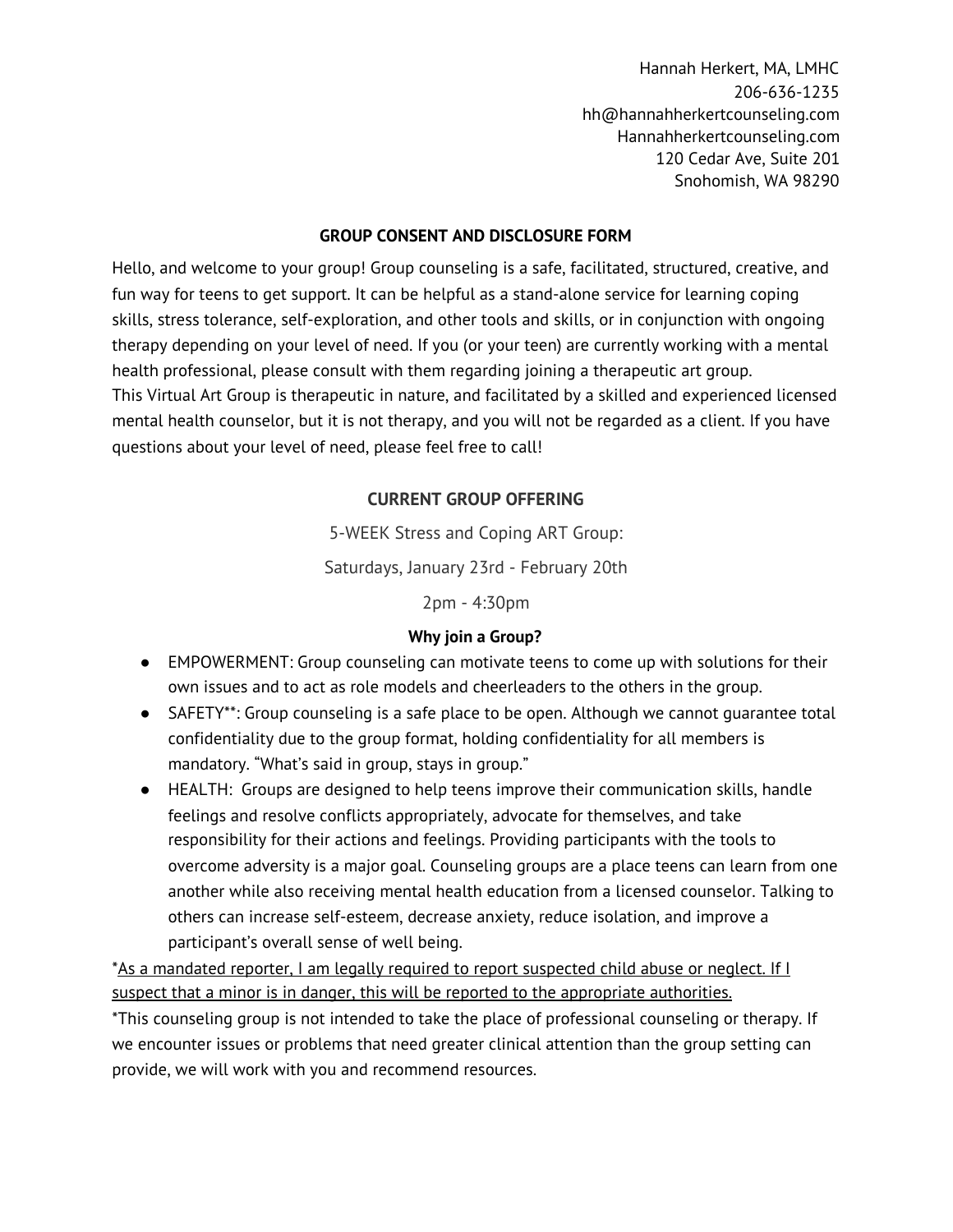#### **GROUP CONSENT AND DISCLOSURE FORM**

Hello, and welcome to your group! Group counseling is a safe, facilitated, structured, creative, and fun way for teens to get support. It can be helpful as a stand-alone service for learning coping skills, stress tolerance, self-exploration, and other tools and skills, or in conjunction with ongoing therapy depending on your level of need. If you (or your teen) are currently working with a mental health professional, please consult with them regarding joining a therapeutic art group. This Virtual Art Group is therapeutic in nature, and facilitated by a skilled and experienced licensed mental health counselor, but it is not therapy, and you will not be regarded as a client. If you have questions about your level of need, please feel free to call!

# **CURRENT GROUP OFFERING**

5-WEEK Stress and Coping ART Group:

Saturdays, January 23rd - February 20th

2pm - 4:30pm

# **Why join a Group?**

- EMPOWERMENT: Group counseling can motivate teens to come up with solutions for their own issues and to act as role models and cheerleaders to the others in the group.
- SAFETY\*\*: Group counseling is a safe place to be open. Although we cannot quarantee total confidentiality due to the group format, holding confidentiality for all members is mandatory. "What's said in group, stays in group."
- HEALTH: Groups are designed to help teens improve their communication skills, handle feelings and resolve conflicts appropriately, advocate for themselves, and take responsibility for their actions and feelings. Providing participants with the tools to overcome adversity is a major goal. Counseling groups are a place teens can learn from one another while also receiving mental health education from a licensed counselor. Talking to others can increase self-esteem, decrease anxiety, reduce isolation, and improve a participant's overall sense of well being.

\*As a mandated reporter, I am legally required to report suspected child abuse or neglect. If I suspect that a minor is in danger, this will be reported to the appropriate authorities. \*This counseling group is not intended to take the place of professional counseling or therapy. If we encounter issues or problems that need greater clinical attention than the group setting can provide, we will work with you and recommend resources.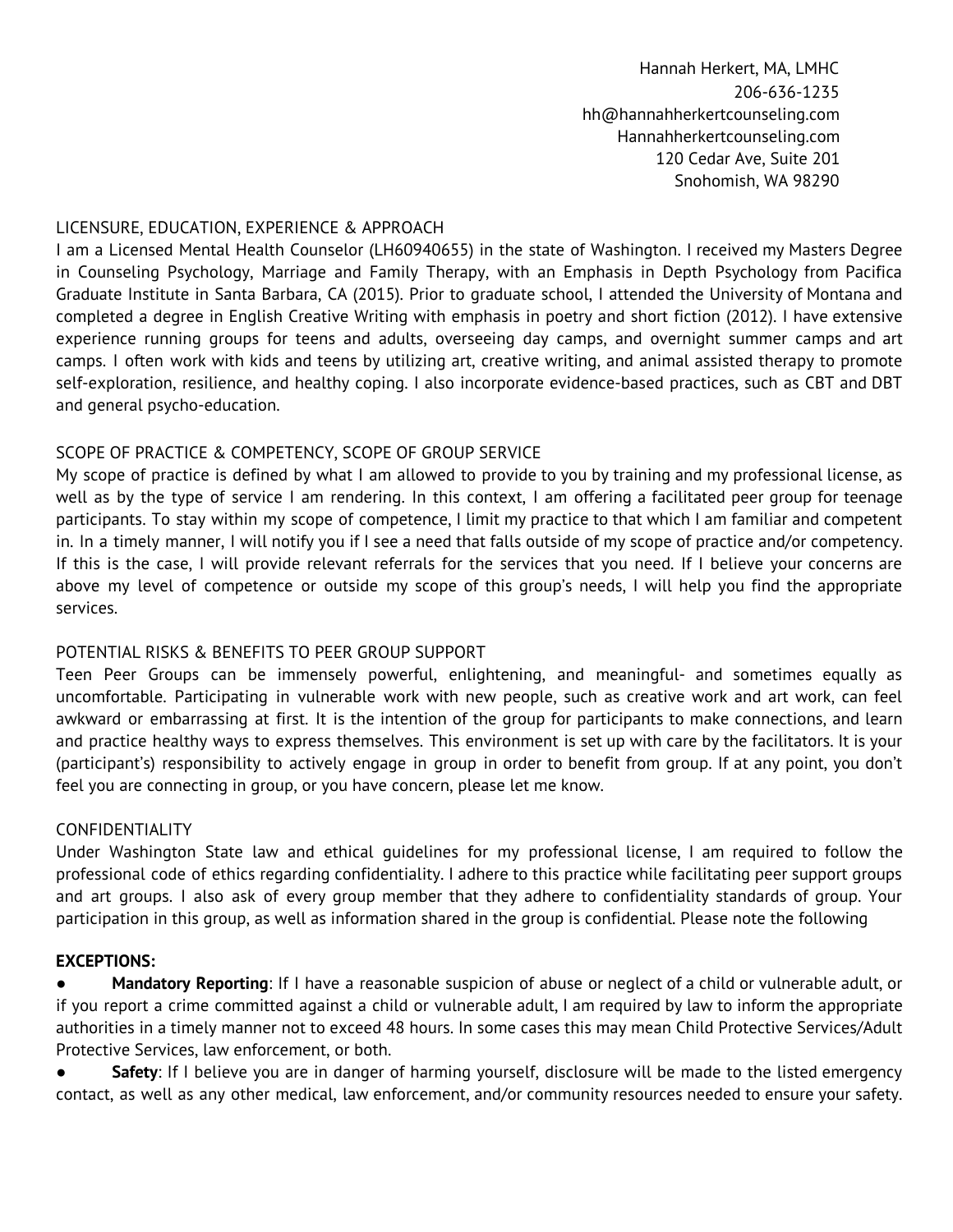### LICENSURE, EDUCATION, EXPERIENCE & APPROACH

I am a Licensed Mental Health Counselor (LH60940655) in the state of Washington. I received my Masters Degree in Counseling Psychology, Marriage and Family Therapy, with an Emphasis in Depth Psychology from Pacifica Graduate Institute in Santa Barbara, CA (2015). Prior to graduate school, I attended the University of Montana and completed a degree in English Creative Writing with emphasis in poetry and short fiction (2012). I have extensive experience running groups for teens and adults, overseeing day camps, and overnight summer camps and art camps. I often work with kids and teens by utilizing art, creative writing, and animal assisted therapy to promote self-exploration, resilience, and healthy coping. I also incorporate evidence-based practices, such as CBT and DBT and general psycho-education.

### SCOPE OF PRACTICE & COMPETENCY, SCOPE OF GROUP SERVICE

My scope of practice is defined by what I am allowed to provide to you by training and my professional license, as well as by the type of service I am rendering. In this context, I am offering a facilitated peer group for teenage participants. To stay within my scope of competence, I limit my practice to that which I am familiar and competent in. In a timely manner, I will notify you if I see a need that falls outside of my scope of practice and/or competency. If this is the case, I will provide relevant referrals for the services that you need. If I believe your concerns are above my level of competence or outside my scope of this group's needs, I will help you find the appropriate services.

#### POTENTIAL RISKS & BENEFITS TO PEER GROUP SUPPORT

Teen Peer Groups can be immensely powerful, enlightening, and meaningful- and sometimes equally as uncomfortable. Participating in vulnerable work with new people, such as creative work and art work, can feel awkward or embarrassing at first. It is the intention of the group for participants to make connections, and learn and practice healthy ways to express themselves. This environment is set up with care by the facilitators. It is your (participant's) responsibility to actively engage in group in order to benefit from group. If at any point, you don't feel you are connecting in group, or you have concern, please let me know.

#### CONFIDENTIALITY

Under Washington State law and ethical guidelines for my professional license, I am required to follow the professional code of ethics regarding confidentiality. I adhere to this practice while facilitating peer support groups and art groups. I also ask of every group member that they adhere to confidentiality standards of group. Your participation in this group, as well as information shared in the group is confidential. Please note the following

#### **EXCEPTIONS:**

● **Mandatory Reporting**: If I have a reasonable suspicion of abuse or neglect of a child or vulnerable adult, or if you report a crime committed against a child or vulnerable adult, I am required by law to inform the appropriate authorities in a timely manner not to exceed 48 hours. In some cases this may mean Child Protective Services/Adult Protective Services, law enforcement, or both.

**Safety**: If I believe you are in danger of harming yourself, disclosure will be made to the listed emergency contact, as well as any other medical, law enforcement, and/or community resources needed to ensure your safety.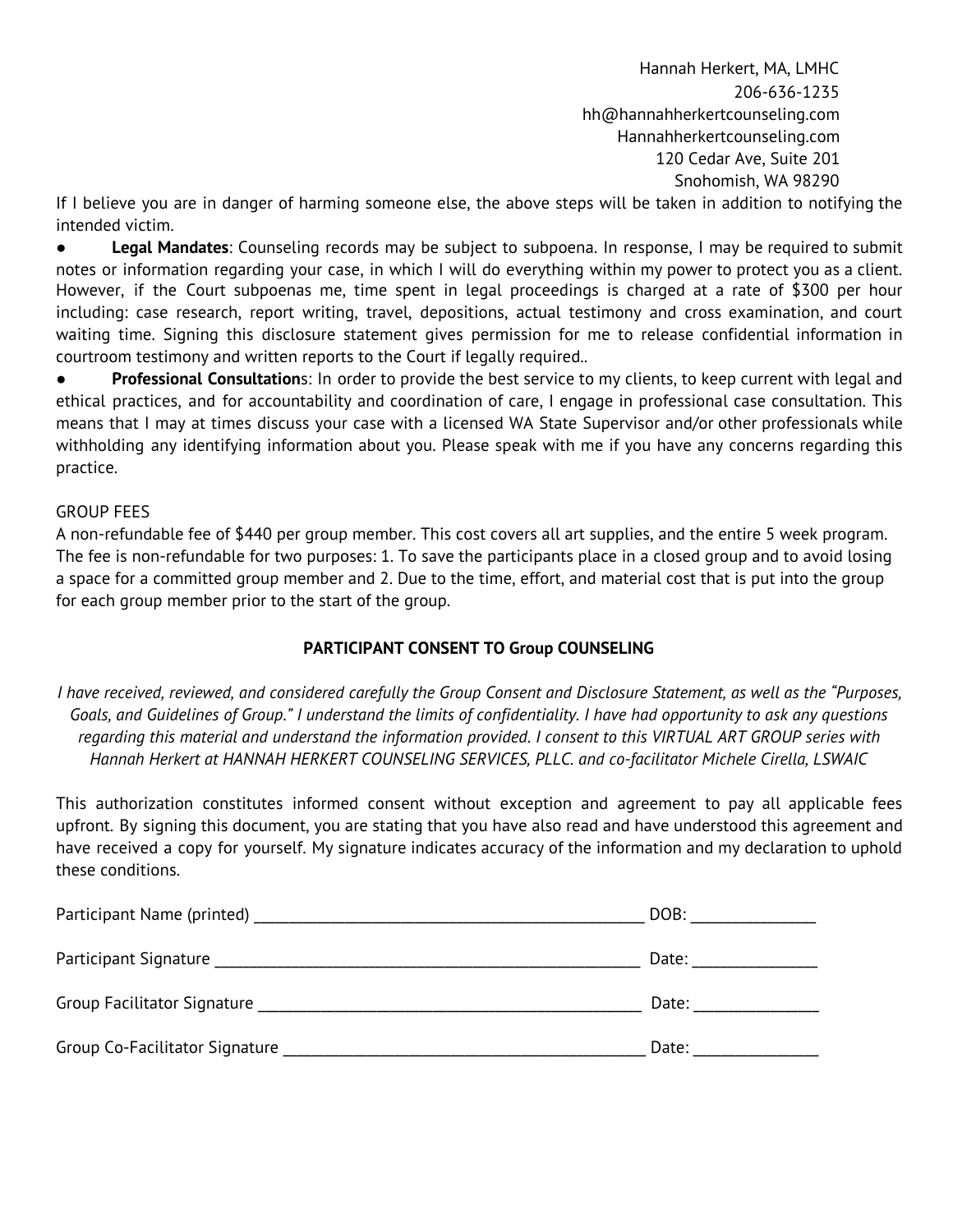If I believe you are in danger of harming someone else, the above steps will be taken in addition to notifying the intended victim.

● **Legal Mandates**: Counseling records may be subject to subpoena. In response, I may be required to submit notes or information regarding your case, in which I will do everything within my power to protect you as a client. However, if the Court subpoenas me, time spent in legal proceedings is charged at a rate of \$300 per hour including: case research, report writing, travel, depositions, actual testimony and cross examination, and court waiting time. Signing this disclosure statement gives permission for me to release confidential information in courtroom testimony and written reports to the Court if legally required..

● **Professional Consultation**s: In order to provide the best service to my clients, to keep current with legal and ethical practices, and for accountability and coordination of care, I engage in professional case consultation. This means that I may at times discuss your case with a licensed WA State Supervisor and/or other professionals while withholding any identifying information about you. Please speak with me if you have any concerns regarding this practice.

#### GROUP FEES

A non-refundable fee of \$440 per group member. This cost covers all art supplies, and the entire 5 week program. The fee is non-refundable for two purposes: 1. To save the participants place in a closed group and to avoid losing a space for a committed group member and 2. Due to the time, effort, and material cost that is put into the group for each group member prior to the start of the group.

#### **PARTICIPANT CONSENT TO Group COUNSELING**

I have received, reviewed, and considered carefully the Group Consent and Disclosure Statement, as well as the "Purposes, Goals, and Guidelines of Group." I understand the limits of confidentiality. I have had opportunity to ask any questions regarding this material and understand the information provided. I consent to this VIRTUAL ART GROUP series with *Hannah Herkert at HANNAH HERKERT COUNSELING SERVICES, PLLC. and co-facilitator Michele Cirella, LSWAIC*

This authorization constitutes informed consent without exception and agreement to pay all applicable fees upfront. By signing this document, you are stating that you have also read and have understood this agreement and have received a copy for yourself. My signature indicates accuracy of the information and my declaration to uphold these conditions.

|                                | DOB:  |
|--------------------------------|-------|
| Participant Signature          | Date: |
| Group Facilitator Signature    | Date: |
| Group Co-Facilitator Signature | Date: |